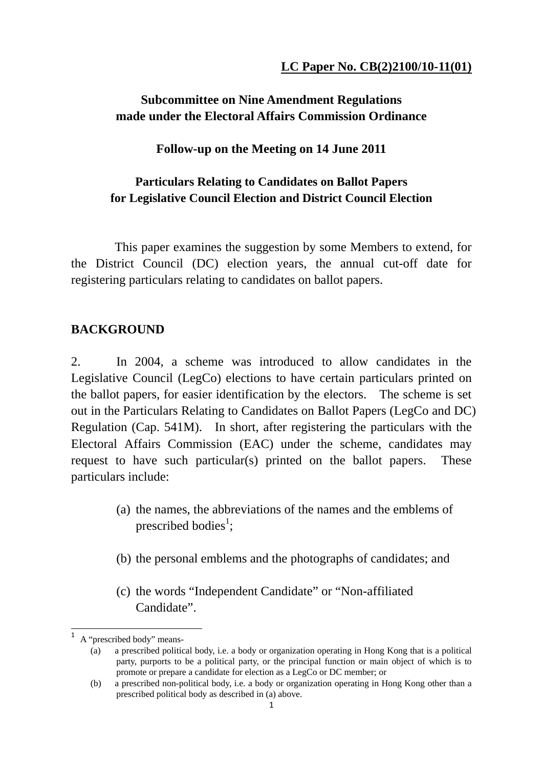## **Subcommittee on Nine Amendment Regulations made under the Electoral Affairs Commission Ordinance**

### **Follow-up on the Meeting on 14 June 2011**

### **Particulars Relating to Candidates on Ballot Papers for Legislative Council Election and District Council Election**

 This paper examines the suggestion by some Members to extend, for the District Council (DC) election years, the annual cut-off date for registering particulars relating to candidates on ballot papers.

### **BACKGROUND**

2. In 2004, a scheme was introduced to allow candidates in the Legislative Council (LegCo) elections to have certain particulars printed on the ballot papers, for easier identification by the electors. The scheme is set out in the Particulars Relating to Candidates on Ballot Papers (LegCo and DC) Regulation (Cap. 541M). In short, after registering the particulars with the Electoral Affairs Commission (EAC) under the scheme, candidates may request to have such particular(s) printed on the ballot papers. These particulars include:

- (a) the names, the abbreviations of the names and the emblems of prescribed bodies<sup>1</sup>;
- (b) the personal emblems and the photographs of candidates; and
- (c) the words "Independent Candidate" or "Non-affiliated Candidate".

 A "prescribed body" means-

<sup>(</sup>a) a prescribed political body, i.e. a body or organization operating in Hong Kong that is a political party, purports to be a political party, or the principal function or main object of which is to promote or prepare a candidate for election as a LegCo or DC member; or

<sup>(</sup>b) a prescribed non-political body, i.e. a body or organization operating in Hong Kong other than a prescribed political body as described in (a) above.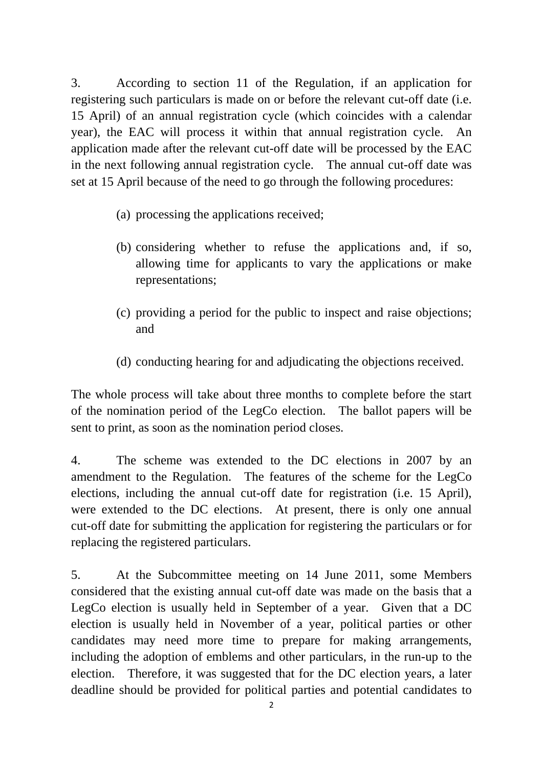3. According to section 11 of the Regulation, if an application for registering such particulars is made on or before the relevant cut-off date (i.e. 15 April) of an annual registration cycle (which coincides with a calendar year), the EAC will process it within that annual registration cycle. An application made after the relevant cut-off date will be processed by the EAC in the next following annual registration cycle. The annual cut-off date was set at 15 April because of the need to go through the following procedures:

- (a) processing the applications received;
- (b) considering whether to refuse the applications and, if so, allowing time for applicants to vary the applications or make representations;
- (c) providing a period for the public to inspect and raise objections; and
- (d) conducting hearing for and adjudicating the objections received.

The whole process will take about three months to complete before the start of the nomination period of the LegCo election. The ballot papers will be sent to print, as soon as the nomination period closes.

4. The scheme was extended to the DC elections in 2007 by an amendment to the Regulation. The features of the scheme for the LegCo elections, including the annual cut-off date for registration (i.e. 15 April), were extended to the DC elections. At present, there is only one annual cut-off date for submitting the application for registering the particulars or for replacing the registered particulars.

5. At the Subcommittee meeting on 14 June 2011, some Members considered that the existing annual cut-off date was made on the basis that a LegCo election is usually held in September of a year. Given that a DC election is usually held in November of a year, political parties or other candidates may need more time to prepare for making arrangements, including the adoption of emblems and other particulars, in the run-up to the election. Therefore, it was suggested that for the DC election years, a later deadline should be provided for political parties and potential candidates to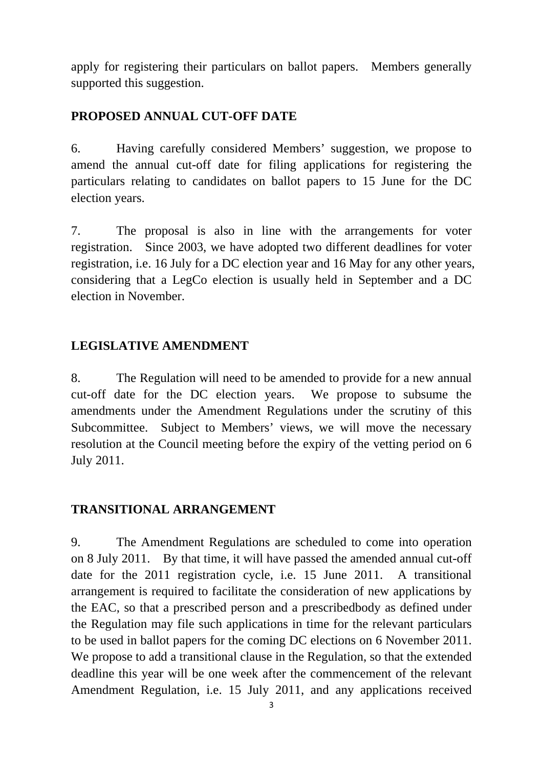apply for registering their particulars on ballot papers. Members generally supported this suggestion.

# **PROPOSED ANNUAL CUT-OFF DATE**

6. Having carefully considered Members' suggestion, we propose to amend the annual cut-off date for filing applications for registering the particulars relating to candidates on ballot papers to 15 June for the DC election years.

7. The proposal is also in line with the arrangements for voter registration. Since 2003, we have adopted two different deadlines for voter registration, i.e. 16 July for a DC election year and 16 May for any other years, considering that a LegCo election is usually held in September and a DC election in November.

## **LEGISLATIVE AMENDMENT**

8. The Regulation will need to be amended to provide for a new annual cut-off date for the DC election years. We propose to subsume the amendments under the Amendment Regulations under the scrutiny of this Subcommittee. Subject to Members' views, we will move the necessary resolution at the Council meeting before the expiry of the vetting period on 6 July 2011.

### **TRANSITIONAL ARRANGEMENT**

9. The Amendment Regulations are scheduled to come into operation on 8 July 2011. By that time, it will have passed the amended annual cut-off date for the 2011 registration cycle, i.e. 15 June 2011. A transitional arrangement is required to facilitate the consideration of new applications by the EAC, so that a prescribed person and a prescribedbody as defined under the Regulation may file such applications in time for the relevant particulars to be used in ballot papers for the coming DC elections on 6 November 2011. We propose to add a transitional clause in the Regulation, so that the extended deadline this year will be one week after the commencement of the relevant Amendment Regulation, i.e. 15 July 2011, and any applications received